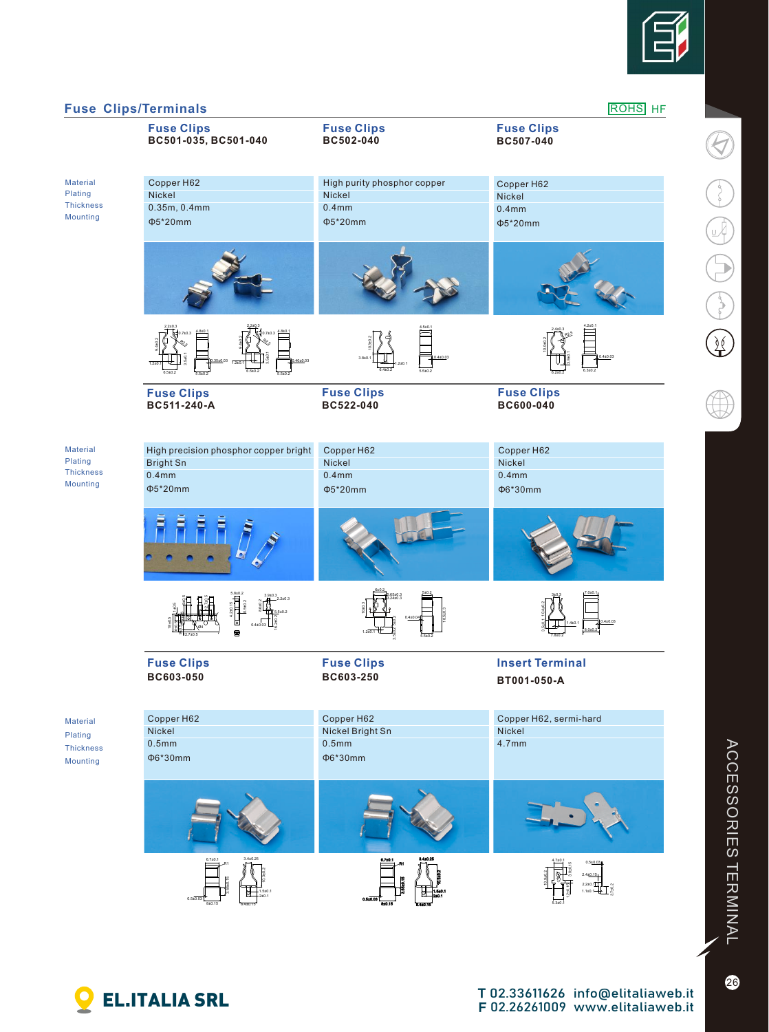

 $\overline{\mathcal{G}}$ 

 $\bigodot$   $\bigodot$   $\bigodot$ 

 $\overline{\mathscr{L}}$ 

 $\bigoplus$